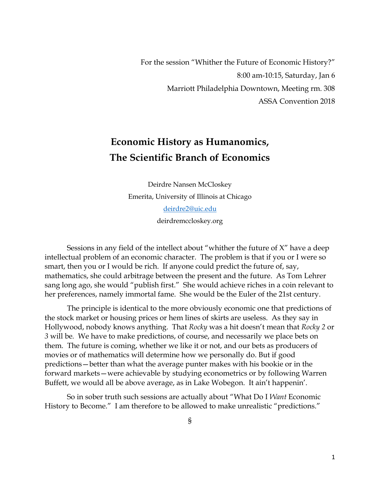For the session "Whither the Future of Economic History?" 8:00 am-10:15, Saturday, Jan 6 Marriott Philadelphia Downtown, Meeting rm. 308 ASSA Convention 2018

## **Economic History as Humanomics, The Scientific Branch of Economics**

Deirdre Nansen McCloskey Emerita, University of Illinois at Chicago [deirdre2@uic.edu](mailto:deirdre2@uic.edu) deirdremccloskey.org

Sessions in any field of the intellect about "whither the future of X" have a deep intellectual problem of an economic character. The problem is that if you or I were so smart, then you or I would be rich. If anyone could predict the future of, say, mathematics, she could arbitrage between the present and the future. As Tom Lehrer sang long ago, she would "publish first." She would achieve riches in a coin relevant to her preferences, namely immortal fame. She would be the Euler of the 21st century.

The principle is identical to the more obviously economic one that predictions of the stock market or housing prices or hem lines of skirts are useless. As they say in Hollywood, nobody knows anything. That *Rocky* was a hit doesn't mean that *Rocky 2* or *3* will be*.* We have to make predictions, of course, and necessarily we place bets on them. The future is coming, whether we like it or not, and our bets as producers of movies or of mathematics will determine how we personally do. But if good predictions—better than what the average punter makes with his bookie or in the forward markets—were achievable by studying econometrics or by following Warren Buffett, we would all be above average, as in Lake Wobegon. It ain't happenin'.

So in sober truth such sessions are actually about "What Do I *Want* Economic History to Become." I am therefore to be allowed to make unrealistic "predictions."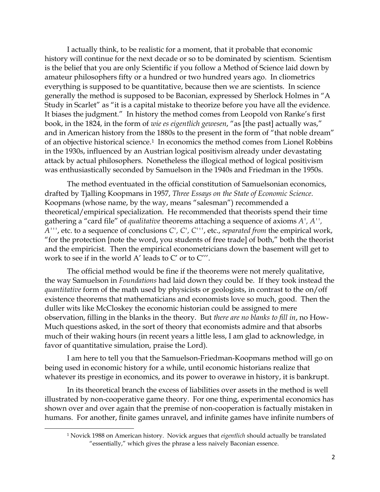I actually think, to be realistic for a moment, that it probable that economic history will continue for the next decade or so to be dominated by scientism. Scientism is the belief that you are only Scientific if you follow a Method of Science laid down by amateur philosophers fifty or a hundred or two hundred years ago. In cliometrics everything is supposed to be quantitative, because then we are scientists. In science generally the method is supposed to be Baconian, expressed by Sherlock Holmes in "A Study in Scarlet" as "it is a capital mistake to theorize before you have all the evidence. It biases the judgment." In history the method comes from Leopold von Ranke's first book, in the 1824, in the form of *wie es eigentlich gewesen*, "as [the past] actually was," and in American history from the 1880s to the present in the form of "that noble dream" of an objective historical science. <sup>1</sup> In economics the method comes from Lionel Robbins in the 1930s, influenced by an Austrian logical positivism already under devastating attack by actual philosophers. Nonetheless the illogical method of logical positivism was enthusiastically seconded by Samuelson in the 1940s and Friedman in the 1950s.

The method eventuated in the official constitution of Samuelsonian economics, drafted by Tjalling Koopmans in 1957, *Three Essays on the State of Economic Science.*  Koopmans (whose name, by the way, means "salesman") recommended a theoretical/empirical specialization. He recommended that theorists spend their time gathering a "card file" of *qualitative* theorems attaching a sequence of axioms *A', A'', A'''*, etc. to a sequence of conclusions *C', C', C'''*, etc., *separated from* the empirical work, "for the protection [note the word, you students of free trade] of both," both the theorist and the empiricist. Then the empirical econometricians down the basement will get to work to see if in the world A' leads to C' or to C'''.

The official method would be fine if the theorems were not merely qualitative, the way Samuelson in *Foundations* had laid down they could be. If they took instead the *quantitative* form of the math used by physicists or geologists, in contrast to the on/off existence theorems that mathematicians and economists love so much, good. Then the duller wits like McCloskey the economic historian could be assigned to mere observation, filling in the blanks in the theory. But *there are no blanks to fill in*, no How-Much questions asked, in the sort of theory that economists admire and that absorbs much of their waking hours (in recent years a little less, I am glad to acknowledge, in favor of quantitative simulation, praise the Lord).

I am here to tell you that the Samuelson-Friedman-Koopmans method will go on being used in economic history for a while, until economic historians realize that whatever its prestige in economics, and its power to overawe in history, it is bankrupt.

In its theoretical branch the excess of liabilities over assets in the method is well illustrated by non-cooperative game theory. For one thing, experimental economics has shown over and over again that the premise of non-cooperation is factually mistaken in humans. For another, finite games unravel, and infinite games have infinite numbers of

l

<sup>1</sup> Novick 1988 on American history. Novick argues that *eigentlich* should actually be translated "essentially," which gives the phrase a less naively Baconian essence.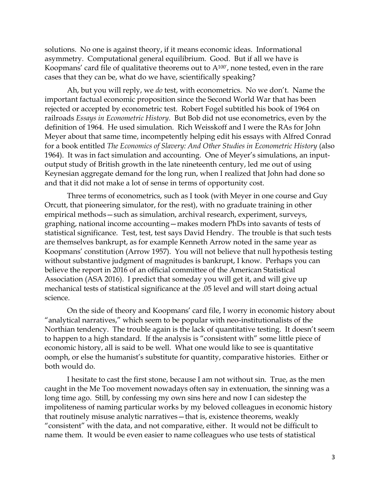solutions. No one is against theory, if it means economic ideas. Informational asymmetry. Computational general equilibrium. Good. But if all we have is Koopmans' card file of qualitative theorems out to  $A^{100'}$ , none tested, even in the rare cases that they can be, what do we have, scientifically speaking?

Ah, but you will reply, we *do* test, with econometrics. No we don't. Name the important factual economic proposition since the Second World War that has been rejected or accepted by econometric test. Robert Fogel subtitled his book of 1964 on railroads *Essays in Econometric History*. But Bob did not use econometrics, even by the definition of 1964. He used simulation. Rich Weisskoff and I were the RAs for John Meyer about that same time, incompetently helping edit his essays with Alfred Conrad for a book entitled *The Economics of Slavery: And Other Studies in Econometric History* (also 1964). It was in fact simulation and accounting. One of Meyer's simulations, an inputoutput study of British growth in the late nineteenth century, led me out of using Keynesian aggregate demand for the long run, when I realized that John had done so and that it did not make a lot of sense in terms of opportunity cost.

Three terms of econometrics, such as I took (with Meyer in one course and Guy Orcutt, that pioneering simulator, for the rest), with no graduate training in other empirical methods—such as simulation, archival research, experiment, surveys, graphing, national income accounting—makes modern PhDs into savants of tests of statistical significance. Test, test, test says David Hendry. The trouble is that such tests are themselves bankrupt, as for example Kenneth Arrow noted in the same year as Koopmans' constitution (Arrow 1957). You will not believe that null hypothesis testing without substantive judgment of magnitudes is bankrupt, I know. Perhaps you can believe the report in 2016 of an official committee of the American Statistical Association (ASA 2016). I predict that someday you will get it, and will give up mechanical tests of statistical significance at the .05 level and will start doing actual science.

On the side of theory and Koopmans' card file, I worry in economic history about "analytical narratives," which seem to be popular with neo-institutionalists of the Northian tendency. The trouble again is the lack of quantitative testing. It doesn't seem to happen to a high standard. If the analysis is "consistent with" some little piece of economic history, all is said to be well. What one would like to see is quantitative oomph, or else the humanist's substitute for quantity, comparative histories. Either or both would do.

I hesitate to cast the first stone, because I am not without sin. True, as the men caught in the Me Too movement nowadays often say in extenuation, the sinning was a long time ago. Still, by confessing my own sins here and now I can sidestep the impoliteness of naming particular works by my beloved colleagues in economic history that routinely misuse analytic narratives—that is, existence theorems, weakly "consistent" with the data, and not comparative, either. It would not be difficult to name them. It would be even easier to name colleagues who use tests of statistical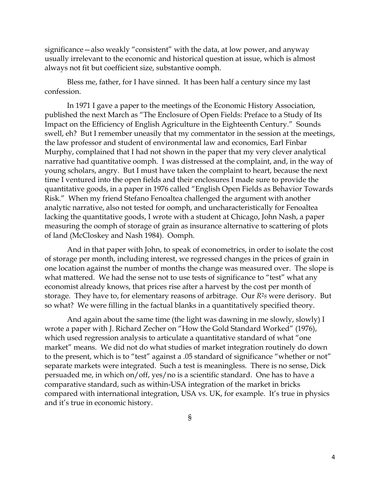significance—also weakly "consistent" with the data, at low power, and anyway usually irrelevant to the economic and historical question at issue, which is almost always not fit but coefficient size, substantive oomph.

Bless me, father, for I have sinned. It has been half a century since my last confession.

In 1971 I gave a paper to the meetings of the Economic History Association, published the next March as "The Enclosure of Open Fields: Preface to a Study of Its Impact on the Efficiency of English Agriculture in the Eighteenth Century." Sounds swell, eh? But I remember uneasily that my commentator in the session at the meetings, the law professor and student of environmental law and economics, Earl Finbar Murphy, complained that I had not shown in the paper that my very clever analytical narrative had quantitative oomph. I was distressed at the complaint, and, in the way of young scholars, angry. But I must have taken the complaint to heart, because the next time I ventured into the open fields and their enclosures I made sure to provide the quantitative goods, in a paper in 1976 called "English Open Fields as Behavior Towards Risk." When my friend Stefano Fenoaltea challenged the argument with another analytic narrative, also not tested for oomph, and uncharacteristically for Fenoaltea lacking the quantitative goods, I wrote with a student at Chicago, John Nash, a paper measuring the oomph of storage of grain as insurance alternative to scattering of plots of land (McCloskey and Nash 1984). Oomph.

And in that paper with John, to speak of econometrics, in order to isolate the cost of storage per month, including interest, we regressed changes in the prices of grain in one location against the number of months the change was measured over. The slope is what mattered. We had the sense not to use tests of significance to "test" what any economist already knows, that prices rise after a harvest by the cost per month of storage. They have to, for elementary reasons of arbitrage. Our *R*2*s* were derisory. But so what? We were filling in the factual blanks in a quantitatively specified theory.

And again about the same time (the light was dawning in me slowly, slowly) I wrote a paper with J. Richard Zecher on "How the Gold Standard Worked" (1976), which used regression analysis to articulate a quantitative standard of what "one market" means. We did not do what studies of market integration routinely do down to the present, which is to "test" against a .05 standard of significance "whether or not" separate markets were integrated. Such a test is meaningless. There is no sense, Dick persuaded me, in which on/off, yes/no is a scientific standard. One has to have a comparative standard, such as within-USA integration of the market in bricks compared with international integration, USA vs. UK, for example. It's true in physics and it's true in economic history.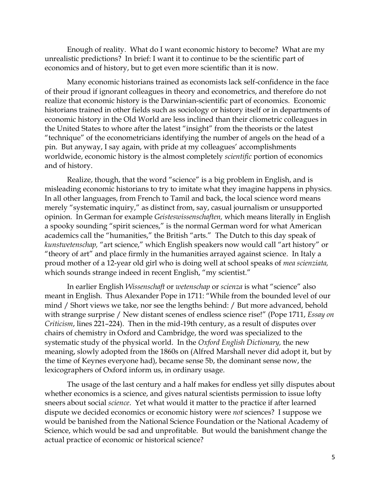Enough of reality. What do I want economic history to become? What are my unrealistic predictions? In brief: I want it to continue to be the scientific part of economics and of history, but to get even more scientific than it is now.

Many economic historians trained as economists lack self-confidence in the face of their proud if ignorant colleagues in theory and econometrics, and therefore do not realize that economic history is the Darwinian-scientific part of economics. Economic historians trained in other fields such as sociology or history itself or in departments of economic history in the Old World are less inclined than their cliometric colleagues in the United States to whore after the latest "insight" from the theorists or the latest "technique" of the econometricians identifying the number of angels on the head of a pin. But anyway, I say again, with pride at my colleagues' accomplishments worldwide, economic history is the almost completely *scientific* portion of economics and of history.

Realize, though, that the word "science" is a big problem in English, and is misleading economic historians to try to imitate what they imagine happens in physics. In all other languages, from French to Tamil and back, the local science word means merely "systematic inquiry," as distinct from, say, casual journalism or unsupported opinion. In German for example *Geisteswissenschaften,* which means literally in English a spooky sounding "spirit sciences," is the normal German word for what American academics call the "humanities," the British "arts." The Dutch to this day speak of *kunstwetenschap,* "art science," which English speakers now would call "art history" or "theory of art" and place firmly in the humanities arrayed against science. In Italy a proud mother of a 12-year old girl who is doing well at school speaks of *mea scienziata,*  which sounds strange indeed in recent English, "my scientist."

In earlier English *Wissenschaft* or *wetenschap* or *scienza* is what "science" also meant in English. Thus Alexander Pope in 1711: "While from the bounded level of our mind / Short views we take, nor see the lengths behind: / But more advanced, behold with strange surprise / New distant scenes of endless science rise!" (Pope 1711, *Essay on Criticism*, lines 221–224). Then in the mid-19th century, as a result of disputes over chairs of chemistry in Oxford and Cambridge, the word was specialized to the systematic study of the physical world. In the *Oxford English Dictionary,* the new meaning, slowly adopted from the 1860s on (Alfred Marshall never did adopt it, but by the time of Keynes everyone had), became sense 5b, the dominant sense now, the lexicographers of Oxford inform us, in ordinary usage.

The usage of the last century and a half makes for endless yet silly disputes about whether economics is a science, and gives natural scientists permission to issue lofty sneers about social *science*. Yet what would it matter to the practice if after learned dispute we decided economics or economic history were *not* sciences? I suppose we would be banished from the National Science Foundation or the National Academy of Science, which would be sad and unprofitable. But would the banishment change the actual practice of economic or historical science?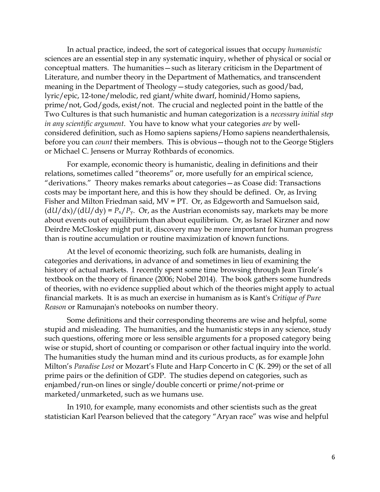In actual practice, indeed, the sort of categorical issues that occupy *humanistic* sciences are an essential step in any systematic inquiry, whether of physical or social or conceptual matters. The humanities—such as literary criticism in the Department of Literature, and number theory in the Department of Mathematics, and transcendent meaning in the Department of Theology—study categories, such as good/bad, lyric/epic, 12-tone/melodic, red giant/white dwarf, hominid/Homo sapiens, prime/not, God/gods, exist/not. The crucial and neglected point in the battle of the Two Cultures is that such humanistic and human categorization is a *necessary initial step in any scientific argument*. You have to know what your categories *are* by wellconsidered definition, such as Homo sapiens sapiens/Homo sapiens neanderthalensis, before you can *count* their members. This is obvious—though not to the George Stiglers or Michael C. Jensens or Murray Rothbards of economics.

For example, economic theory is humanistic, dealing in definitions and their relations, sometimes called "theorems" or, more usefully for an empirical science, "derivations." Theory makes remarks about categories—as Coase did: Transactions costs may be important here, and this is how they should be defined. Or, as Irving Fisher and Milton Friedman said, MV = PT. Or, as Edgeworth and Samuelson said,  $\frac{dU}{dx}/\frac{du}{dy} = P_x/P_y$ . Or, as the Austrian economists say, markets may be more about events out of equilibrium than about equilibrium. Or, as Israel Kirzner and now Deirdre McCloskey might put it, discovery may be more important for human progress than is routine accumulation or routine maximization of known functions.

At the level of economic theorizing, such folk are humanists, dealing in categories and derivations, in advance of and sometimes in lieu of examining the history of actual markets. I recently spent some time browsing through Jean Tirole's textbook on the theory of finance (2006; Nobel 2014). The book gathers some hundreds of theories, with no evidence supplied about which of the theories might apply to actual financial markets. It is as much an exercise in humanism as is Kant's *Critique of Pure Reason* or Ramunajan's notebooks on number theory.

Some definitions and their corresponding theorems are wise and helpful, some stupid and misleading. The humanities, and the humanistic steps in any science, study such questions, offering more or less sensible arguments for a proposed category being wise or stupid, short of counting or comparison or other factual inquiry into the world. The humanities study the human mind and its curious products, as for example John Milton's *Paradise Lost* or Mozart's Flute and Harp Concerto in C (K. 299) or the set of all prime pairs or the definition of GDP. The studies depend on categories, such as enjambed/run-on lines or single/double concerti or prime/not-prime or marketed/unmarketed, such as we humans use.

In 1910, for example, many economists and other scientists such as the great statistician Karl Pearson believed that the category "Aryan race" was wise and helpful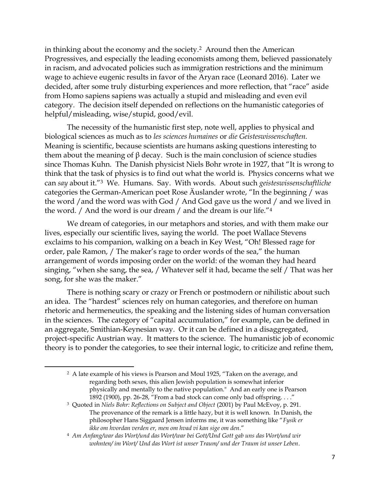in thinking about the economy and the society.2 Around then the American Progressives, and especially the leading economists among them, believed passionately in racism, and advocated policies such as immigration restrictions and the minimum wage to achieve eugenic results in favor of the Aryan race (Leonard 2016). Later we decided, after some truly disturbing experiences and more reflection, that "race" aside from Homo sapiens sapiens was actually a stupid and misleading and even evil category. The decision itself depended on reflections on the humanistic categories of helpful/misleading, wise/stupid, good/evil.

The necessity of the humanistic first step, note well, applies to physical and biological sciences as much as to *les sciences humaines* or *die Geisteswissenschaften.*  Meaning is scientific, because scientists are humans asking questions interesting to them about the meaning of  $\beta$  decay. Such is the main conclusion of science studies since Thomas Kuhn. The Danish physicist Niels Bohr wrote in 1927, that "It is wrong to think that the task of physics is to find out what the world is. Physics concerns what we can *say* about it."3 We. Humans. Say. With words. About such *geisteswissenschaftliche* categories the German-American poet Rose Äuslander wrote, "In the beginning / was the word / and the word was with God / And God gave us the word / and we lived in the word. / And the word is our dream / and the dream is our life."<sup>4</sup>

We dream of categories, in our metaphors and stories, and with them make our lives, especially our scientific lives, saying the world. The poet Wallace Stevens exclaims to his companion, walking on a beach in Key West, "Oh! Blessed rage for order, pale Ramon, / The maker's rage to order words of the sea," the human arrangement of words imposing order on the world: of the woman they had heard singing, "when she sang, the sea, / Whatever self it had, became the self / That was her song, for she was the maker."

There is nothing scary or crazy or French or postmodern or nihilistic about such an idea. The "hardest" sciences rely on human categories, and therefore on human rhetoric and hermeneutics, the speaking and the listening sides of human conversation in the sciences. The category of "capital accumulation," for example, can be defined in an aggregate, Smithian-Keynesian way. Or it can be defined in a disaggregated, project-specific Austrian way. It matters to the science. The humanistic job of economic theory is to ponder the categories, to see their internal logic, to criticize and refine them,

 $\overline{a}$ 

<sup>2</sup> A late example of his views is Pearson and Moul 1925, "Taken on the average, and regarding both sexes, this alien Jewish population is somewhat inferior physically and mentally to the native population." And an early one is Pearson 1892 (1900), pp. 26-28, "From a bad stock can come only bad offspring. . . ."

<sup>3</sup> Quoted in *Niels Bohr: Reflections on Subject and Object* (2001) by Paul McEvoy, p. 291. The provenance of the remark is a little hazy, but it is well known. In Danish, the philosopher Hans Siggaard Jensen informs me, it was something like "*Fysik er ikke om hvordan verden er, men om hvad vi kan sige om den*."

<sup>4</sup> *Am Anfang/war das Wort/und das Wort/war bei Gott/Und Gott gab uns das Wort/und wir wohnten/ im Wort/ Und das Wort ist unser Traum/ und der Traum ist unser Leben*.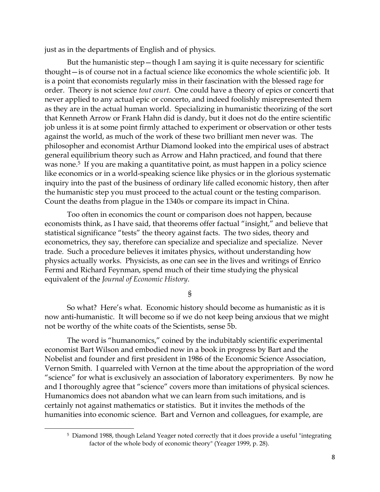just as in the departments of English and of physics.

But the humanistic step—though I am saying it is quite necessary for scientific thought—is of course not in a factual science like economics the whole scientific job. It is a point that economists regularly miss in their fascination with the blessed rage for order. Theory is not science *tout court.* One could have a theory of epics or concerti that never applied to any actual epic or concerto, and indeed foolishly misrepresented them as they are in the actual human world. Specializing in humanistic theorizing of the sort that Kenneth Arrow or Frank Hahn did is dandy, but it does not do the entire scientific job unless it is at some point firmly attached to experiment or observation or other tests against the world, as much of the work of these two brilliant men never was. The philosopher and economist Arthur Diamond looked into the empirical uses of abstract general equilibrium theory such as Arrow and Hahn practiced, and found that there was none.<sup>5</sup> If you are making a quantitative point, as must happen in a policy science like economics or in a world-speaking science like physics or in the glorious systematic inquiry into the past of the business of ordinary life called economic history, then after the humanistic step you must proceed to the actual count or the testing comparison. Count the deaths from plague in the 1340s or compare its impact in China.

Too often in economics the count or comparison does not happen, because economists think, as I have said, that theorems offer factual "insight," and believe that statistical significance "tests" the theory against facts. The two sides, theory and econometrics, they say, therefore can specialize and specialize and specialize. Never trade. Such a procedure believes it imitates physics, without understanding how physics actually works. Physicists, as one can see in the lives and writings of Enrico Fermi and Richard Feynman, spend much of their time studying the physical equivalent of the *Journal of Economic History*.

§

So what? Here's what. Economic history should become as humanistic as it is now anti-humanistic. It will become so if we do not keep being anxious that we might not be worthy of the white coats of the Scientists, sense 5b.

The word is "humanomics," coined by the indubitably scientific experimental economist Bart Wilson and embodied now in a book in progress by Bart and the Nobelist and founder and first president in 1986 of the Economic Science Association, Vernon Smith. I quarreled with Vernon at the time about the appropriation of the word "science" for what is exclusively an association of laboratory experimenters. By now he and I thoroughly agree that "science" covers more than imitations of physical sciences. Humanomics does not abandon what we can learn from such imitations, and is certainly not against mathematics or statistics. But it invites the methods of the humanities into economic science. Bart and Vernon and colleagues, for example, are

l

<sup>5</sup> Diamond 1988, though Leland Yeager noted correctly that it does provide a useful "integrating factor of the whole body of economic theory" (Yeager 1999, p. 28).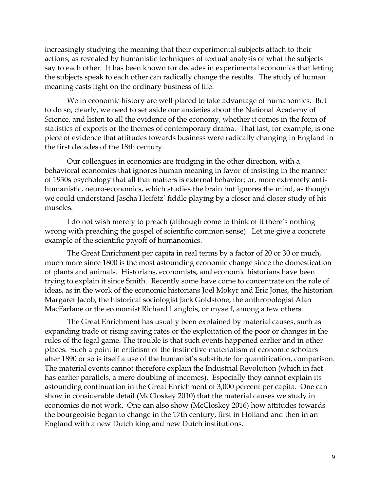increasingly studying the meaning that their experimental subjects attach to their actions, as revealed by humanistic techniques of textual analysis of what the subjects say to each other. It has been known for decades in experimental economics that letting the subjects speak to each other can radically change the results. The study of human meaning casts light on the ordinary business of life.

We in economic history are well placed to take advantage of humanomics. But to do so, clearly, we need to set aside our anxieties about the National Academy of Science, and listen to all the evidence of the economy, whether it comes in the form of statistics of exports or the themes of contemporary drama. That last, for example, is one piece of evidence that attitudes towards business were radically changing in England in the first decades of the 18th century.

Our colleagues in economics are trudging in the other direction, with a behavioral economics that ignores human meaning in favor of insisting in the manner of 1930s psychology that all that matters is external behavior; or, more extremely antihumanistic, neuro-economics, which studies the brain but ignores the mind, as though we could understand Jascha Heifetz' fiddle playing by a closer and closer study of his muscles.

I do not wish merely to preach (although come to think of it there's nothing wrong with preaching the gospel of scientific common sense). Let me give a concrete example of the scientific payoff of humanomics.

The Great Enrichment per capita in real terms by a factor of 20 or 30 or much, much more since 1800 is the most astounding economic change since the domestication of plants and animals. Historians, economists, and economic historians have been trying to explain it since Smith. Recently some have come to concentrate on the role of ideas, as in the work of the economic historians Joel Mokyr and Eric Jones, the historian Margaret Jacob, the historical sociologist Jack Goldstone, the anthropologist Alan MacFarlane or the economist Richard Langlois, or myself, among a few others.

The Great Enrichment has usually been explained by material causes, such as expanding trade or rising saving rates or the exploitation of the poor or changes in the rules of the legal game. The trouble is that such events happened earlier and in other places. Such a point in criticism of the instinctive materialism of economic scholars after 1890 or so is itself a use of the humanist's substitute for quantification, comparison. The material events cannot therefore explain the Industrial Revolution (which in fact has earlier parallels, a mere doubling of incomes). Especially they cannot explain its astounding continuation in the Great Enrichment of 3,000 percent per capita. One can show in considerable detail (McCloskey 2010) that the material causes we study in economics do not work. One can also show (McCloskey 2016) how attitudes towards the bourgeoisie began to change in the 17th century, first in Holland and then in an England with a new Dutch king and new Dutch institutions.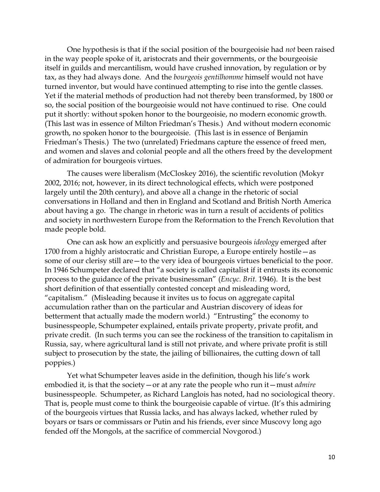One hypothesis is that if the social position of the bourgeoisie had *not* been raised in the way people spoke of it, aristocrats and their governments, or the bourgeoisie itself in guilds and mercantilism, would have crushed innovation, by regulation or by tax, as they had always done. And the *bourgeois gentilhomme* himself would not have turned inventor, but would have continued attempting to rise into the gentle classes. Yet if the material methods of production had not thereby been transformed, by 1800 or so, the social position of the bourgeoisie would not have continued to rise. One could put it shortly: without spoken honor to the bourgeoisie, no modern economic growth. (This last was in essence of Milton Friedman's Thesis.) And without modern economic growth, no spoken honor to the bourgeoisie. (This last is in essence of Benjamin Friedman's Thesis.) The two (unrelated) Friedmans capture the essence of freed men, and women and slaves and colonial people and all the others freed by the development of admiration for bourgeois virtues.

The causes were liberalism (McCloskey 2016), the scientific revolution (Mokyr 2002, 2016; not, however, in its direct technological effects, which were postponed largely until the 20th century), and above all a change in the rhetoric of social conversations in Holland and then in England and Scotland and British North America about having a go. The change in rhetoric was in turn a result of accidents of politics and society in northwestern Europe from the Reformation to the French Revolution that made people bold.

One can ask how an explicitly and persuasive bourgeois *ideology* emerged after 1700 from a highly aristocratic and Christian Europe, a Europe entirely hostile—as some of our clerisy still are—to the very idea of bourgeois virtues beneficial to the poor. In 1946 Schumpeter declared that "a society is called capitalist if it entrusts its economic process to the guidance of the private businessman" (*Encyc. Brit.* 1946). It is the best short definition of that essentially contested concept and misleading word, "capitalism." (Misleading because it invites us to focus on aggregate capital accumulation rather than on the particular and Austrian discovery of ideas for betterment that actually made the modern world.) "Entrusting" the economy to businesspeople, Schumpeter explained, entails private property, private profit, and private credit. (In such terms you can see the rockiness of the transition to capitalism in Russia, say, where agricultural land is still not private, and where private profit is still subject to prosecution by the state, the jailing of billionaires, the cutting down of tall poppies.)

Yet what Schumpeter leaves aside in the definition, though his life's work embodied it, is that the society—or at any rate the people who run it—must *admire*  businesspeople. Schumpeter, as Richard Langlois has noted, had no sociological theory. That is, people must come to think the bourgeoisie capable of virtue. (It's this admiring of the bourgeois virtues that Russia lacks, and has always lacked, whether ruled by boyars or tsars or commissars or Putin and his friends, ever since Muscovy long ago fended off the Mongols, at the sacrifice of commercial Novgorod.)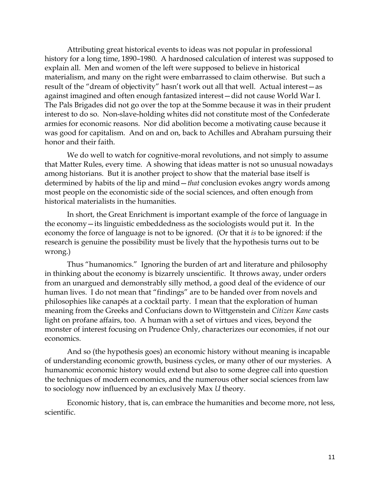Attributing great historical events to ideas was not popular in professional history for a long time, 1890–1980. A hardnosed calculation of interest was supposed to explain all. Men and women of the left were supposed to believe in historical materialism, and many on the right were embarrassed to claim otherwise. But such a result of the "dream of objectivity" hasn't work out all that well. Actual interest—as against imagined and often enough fantasized interest—did not cause World War I. The Pals Brigades did not go over the top at the Somme because it was in their prudent interest to do so. Non-slave-holding whites did not constitute most of the Confederate armies for economic reasons. Nor did abolition become a motivating cause because it was good for capitalism. And on and on, back to Achilles and Abraham pursuing their honor and their faith.

We do well to watch for cognitive-moral revolutions, and not simply to assume that Matter Rules, every time. A showing that ideas matter is not so unusual nowadays among historians. But it is another project to show that the material base itself is determined by habits of the lip and mind—*that* conclusion evokes angry words among most people on the economistic side of the social sciences, and often enough from historical materialists in the humanities.

In short, the Great Enrichment is important example of the force of language in the economy—its linguistic embeddedness as the sociologists would put it. In the economy the force of language is not to be ignored. (Or that it *is* to be ignored: if the research is genuine the possibility must be lively that the hypothesis turns out to be wrong.)

Thus "humanomics." Ignoring the burden of art and literature and philosophy in thinking about the economy is bizarrely unscientific. It throws away, under orders from an unargued and demonstrably silly method, a good deal of the evidence of our human lives. I do not mean that "findings" are to be handed over from novels and philosophies like canapés at a cocktail party. I mean that the exploration of human meaning from the Greeks and Confucians down to Wittgenstein and *Citizen Kane* casts light on profane affairs, too. A human with a set of virtues and vices, beyond the monster of interest focusing on Prudence Only, characterizes our economies, if not our economics.

And so (the hypothesis goes) an economic history without meaning is incapable of understanding economic growth, business cycles, or many other of our mysteries. A humanomic economic history would extend but also to some degree call into question the techniques of modern economics, and the numerous other social sciences from law to sociology now influenced by an exclusively Max *U* theory.

Economic history, that is, can embrace the humanities and become more, not less, scientific.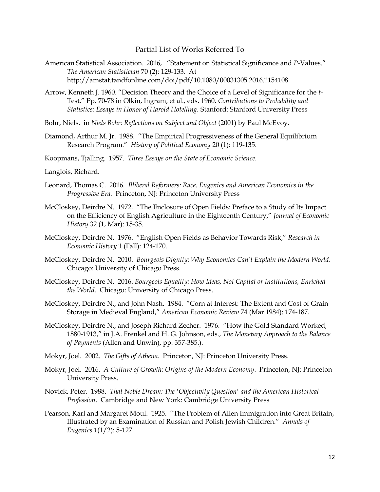## Partial List of Works Referred To

- American Statistical Association. 2016, "Statement on Statistical Significance and *P*-Values." *The American Statistician* 70 (2): 129-133. At http://amstat.tandfonline.com/doi/pdf/10.1080/00031305.2016.1154108
- Arrow, Kenneth J. 1960. "Decision Theory and the Choice of a Level of Significance for the *t-*Test." Pp. 70-78 in Olkin, Ingram, et al.*,* eds. 1960. *Contributions to Probability and Statistics: Essays in Honor of Harold Hotelling.* Stanford: Stanford University Press
- Bohr, Niels. in *Niels Bohr: Reflections on Subject and Object* (2001) by Paul McEvoy.
- Diamond, Arthur M. Jr. 1988. "The Empirical Progressiveness of the General Equilibrium Research Program." *History of Political Economy* 20 (1): 119-135.
- Koopmans, Tjalling. 1957. *Three Essays on the State of Economic Science.*
- Langlois, Richard.
- Leonard, Thomas C. 2016. *Illiberal Reformers: Race, Eugenics and American Economics in the Progressive Era.* Princeton, NJ: Princeton University Press
- McCloskey, Deirdre N. 1972. "The Enclosure of Open Fields: Preface to a Study of Its Impact on the Efficiency of English Agriculture in the Eighteenth Century," *Journal of Economic History* 32 (1, Mar): 15-35.
- McCloskey, Deirdre N. 1976. "English Open Fields as Behavior Towards Risk," *Research in Economic History* 1 (Fall): 124-170.
- McCloskey, Deirdre N. 2010. *Bourgeois Dignity: Why Economics Can't Explain the Modern World*. Chicago: University of Chicago Press.
- McCloskey, Deirdre N. 2016. *Bourgeois Equality: How Ideas, Not Capital or Institutions, Enriched the World*. Chicago: University of Chicago Press.
- McCloskey, Deirdre N., and John Nash. 1984. "Corn at Interest: The Extent and Cost of Grain Storage in Medieval England," *American Economic Review* 74 (Mar 1984): 174-187.
- McCloskey, Deirdre N., and Joseph Richard Zecher. 1976. "How the Gold Standard Worked, 1880-1913," in J.A. Frenkel and H. G. Johnson, eds., *The Monetary Approach to the Balance of Payments* (Allen and Unwin), pp. 357-385.).
- Mokyr, Joel. 2002. *The Gifts of Athena*. Princeton, NJ: Princeton University Press.
- Mokyr, Joel. 2016. *A Culture of Growth: Origins of the Modern Economy*. Princeton, NJ: Princeton University Press.
- Novick, Peter. 1988. *That Noble Dream: The 'Objectivity Question' and the American Historical Profession*. Cambridge and New York: Cambridge University Press
- Pearson, Karl and Margaret Moul. 1925. "The Problem of Alien Immigration into Great Britain, Illustrated by an Examination of Russian and Polish Jewish Children." *Annals of Eugenics* 1(1/2): 5-127.